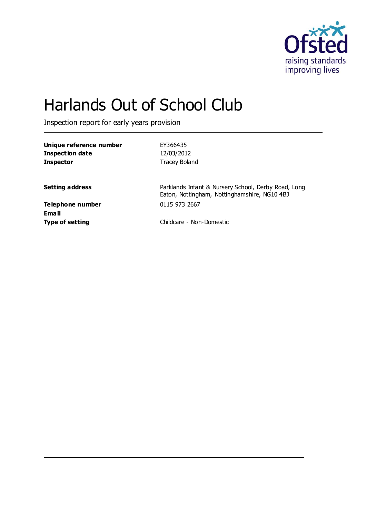

# Harlands Out of School Club

Inspection report for early years provision

| Unique reference number<br><b>Inspection date</b> | EY366435<br>12/03/2012                                                                              |
|---------------------------------------------------|-----------------------------------------------------------------------------------------------------|
| <b>Inspector</b>                                  | <b>Tracey Boland</b>                                                                                |
| <b>Setting address</b>                            | Parklands Infant & Nursery School, Derby Road, Long<br>Eaton, Nottingham, Nottinghamshire, NG10 4BJ |
| Telephone number                                  | 0115 973 2667                                                                                       |
| Email<br><b>Type of setting</b>                   | Childcare - Non-Domestic                                                                            |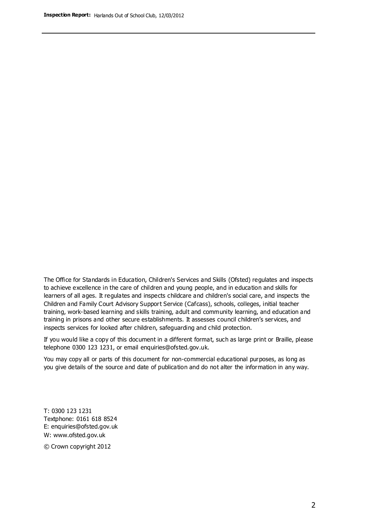The Office for Standards in Education, Children's Services and Skills (Ofsted) regulates and inspects to achieve excellence in the care of children and young people, and in education and skills for learners of all ages. It regulates and inspects childcare and children's social care, and inspects the Children and Family Court Advisory Support Service (Cafcass), schools, colleges, initial teacher training, work-based learning and skills training, adult and community learning, and education and training in prisons and other secure establishments. It assesses council children's services, and inspects services for looked after children, safeguarding and child protection.

If you would like a copy of this document in a different format, such as large print or Braille, please telephone 0300 123 1231, or email enquiries@ofsted.gov.uk.

You may copy all or parts of this document for non-commercial educational purposes, as long as you give details of the source and date of publication and do not alter the information in any way.

T: 0300 123 1231 Textphone: 0161 618 8524 E: enquiries@ofsted.gov.uk W: [www.ofsted.gov.uk](http://www.ofsted.gov.uk/)

© Crown copyright 2012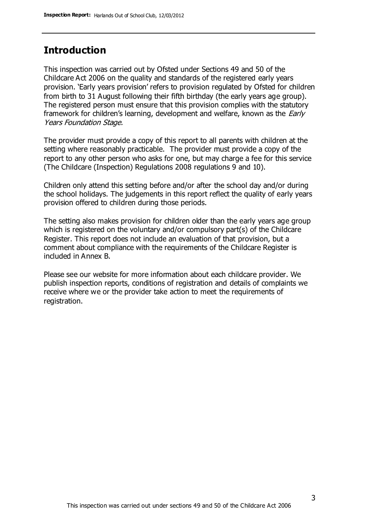## **Introduction**

This inspection was carried out by Ofsted under Sections 49 and 50 of the Childcare Act 2006 on the quality and standards of the registered early years provision. 'Early years provision' refers to provision regulated by Ofsted for children from birth to 31 August following their fifth birthday (the early years age group). The registered person must ensure that this provision complies with the statutory framework for children's learning, development and welfare, known as the *Early* Years Foundation Stage.

The provider must provide a copy of this report to all parents with children at the setting where reasonably practicable. The provider must provide a copy of the report to any other person who asks for one, but may charge a fee for this service (The Childcare (Inspection) Regulations 2008 regulations 9 and 10).

Children only attend this setting before and/or after the school day and/or during the school holidays. The judgements in this report reflect the quality of early years provision offered to children during those periods.

The setting also makes provision for children older than the early years age group which is registered on the voluntary and/or compulsory part(s) of the Childcare Register. This report does not include an evaluation of that provision, but a comment about compliance with the requirements of the Childcare Register is included in Annex B.

Please see our website for more information about each childcare provider. We publish inspection reports, conditions of registration and details of complaints we receive where we or the provider take action to meet the requirements of registration.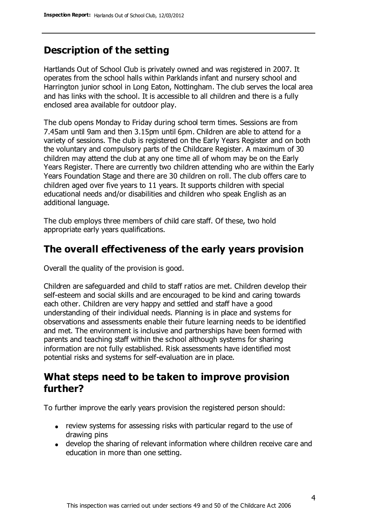# **Description of the setting**

Hartlands Out of School Club is privately owned and was registered in 2007. It operates from the school halls within Parklands infant and nursery school and Harrington junior school in Long Eaton, Nottingham. The club serves the local area and has links with the school. It is accessible to all children and there is a fully enclosed area available for outdoor play.

The club opens Monday to Friday during school term times. Sessions are from 7.45am until 9am and then 3.15pm until 6pm. Children are able to attend for a variety of sessions. The club is registered on the Early Years Register and on both the voluntary and compulsory parts of the Childcare Register. A maximum of 30 children may attend the club at any one time all of whom may be on the Early Years Register. There are currently two children attending who are within the Early Years Foundation Stage and there are 30 children on roll. The club offers care to children aged over five years to 11 years. It supports children with special educational needs and/or disabilities and children who speak English as an additional language.

The club employs three members of child care staff. Of these, two hold appropriate early years qualifications.

# **The overall effectiveness of the early years provision**

Overall the quality of the provision is good.

Children are safeguarded and child to staff ratios are met. Children develop their self-esteem and social skills and are encouraged to be kind and caring towards each other. Children are very happy and settled and staff have a good understanding of their individual needs. Planning is in place and systems for observations and assessments enable their future learning needs to be identified and met. The environment is inclusive and partnerships have been formed with parents and teaching staff within the school although systems for sharing information are not fully established. Risk assessments have identified most potential risks and systems for self-evaluation are in place.

## **What steps need to be taken to improve provision further?**

To further improve the early years provision the registered person should:

- review systems for assessing risks with particular regard to the use of drawing pins
- develop the sharing of relevant information where children receive care and education in more than one setting.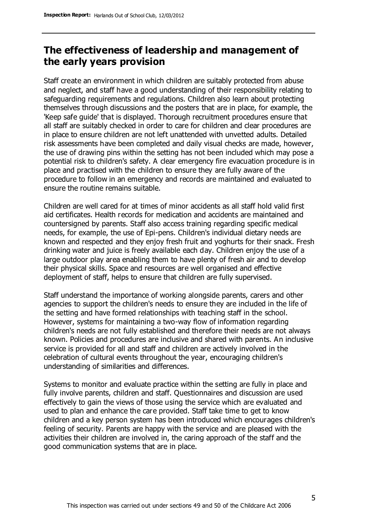# **The effectiveness of leadership and management of the early years provision**

Staff create an environment in which children are suitably protected from abuse and neglect, and staff have a good understanding of their responsibility relating to safeguarding requirements and regulations. Children also learn about protecting themselves through discussions and the posters that are in place, for example, the 'Keep safe guide' that is displayed. Thorough recruitment procedures ensure that all staff are suitably checked in order to care for children and clear procedures are in place to ensure children are not left unattended with unvetted adults. Detailed risk assessments have been completed and daily visual checks are made, however, the use of drawing pins within the setting has not been included which may pose a potential risk to children's safety. A clear emergency fire evacuation procedure is in place and practised with the children to ensure they are fully aware of the procedure to follow in an emergency and records are maintained and evaluated to ensure the routine remains suitable.

Children are well cared for at times of minor accidents as all staff hold valid first aid certificates. Health records for medication and accidents are maintained and countersigned by parents. Staff also access training regarding specific medical needs, for example, the use of Epi-pens. Children's individual dietary needs are known and respected and they enjoy fresh fruit and yoghurts for their snack. Fresh drinking water and juice is freely available each day. Children enjoy the use of a large outdoor play area enabling them to have plenty of fresh air and to develop their physical skills. Space and resources are well organised and effective deployment of staff, helps to ensure that children are fully supervised.

Staff understand the importance of working alongside parents, carers and other agencies to support the children's needs to ensure they are included in the life of the setting and have formed relationships with teaching staff in the school. However, systems for maintaining a two-way flow of information regarding children's needs are not fully established and therefore their needs are not always known. Policies and procedures are inclusive and shared with parents. An inclusive service is provided for all and staff and children are actively involved in the celebration of cultural events throughout the year, encouraging children's understanding of similarities and differences.

Systems to monitor and evaluate practice within the setting are fully in place and fully involve parents, children and staff. Questionnaires and discussion are used effectively to gain the views of those using the service which are evaluated and used to plan and enhance the care provided. Staff take time to get to know children and a key person system has been introduced which encourages children's feeling of security. Parents are happy with the service and are pleased with the activities their children are involved in, the caring approach of the staff and the good communication systems that are in place.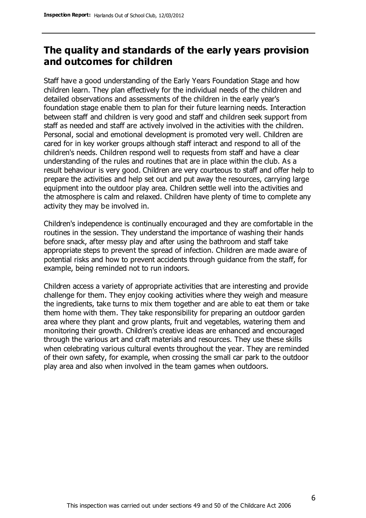## **The quality and standards of the early years provision and outcomes for children**

Staff have a good understanding of the Early Years Foundation Stage and how children learn. They plan effectively for the individual needs of the children and detailed observations and assessments of the children in the early year's foundation stage enable them to plan for their future learning needs. Interaction between staff and children is very good and staff and children seek support from staff as needed and staff are actively involved in the activities with the children. Personal, social and emotional development is promoted very well. Children are cared for in key worker groups although staff interact and respond to all of the children's needs. Children respond well to requests from staff and have a clear understanding of the rules and routines that are in place within the club. As a result behaviour is very good. Children are very courteous to staff and offer help to prepare the activities and help set out and put away the resources, carrying large equipment into the outdoor play area. Children settle well into the activities and the atmosphere is calm and relaxed. Children have plenty of time to complete any activity they may be involved in.

Children's independence is continually encouraged and they are comfortable in the routines in the session. They understand the importance of washing their hands before snack, after messy play and after using the bathroom and staff take appropriate steps to prevent the spread of infection. Children are made aware of potential risks and how to prevent accidents through guidance from the staff, for example, being reminded not to run indoors.

Children access a variety of appropriate activities that are interesting and provide challenge for them. They enjoy cooking activities where they weigh and measure the ingredients, take turns to mix them together and are able to eat them or take them home with them. They take responsibility for preparing an outdoor garden area where they plant and grow plants, fruit and vegetables, watering them and monitoring their growth. Children's creative ideas are enhanced and encouraged through the various art and craft materials and resources. They use these skills when celebrating various cultural events throughout the year. They are reminded of their own safety, for example, when crossing the small car park to the outdoor play area and also when involved in the team games when outdoors.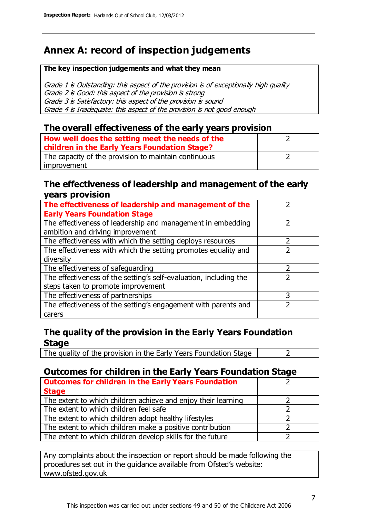# **Annex A: record of inspection judgements**

#### **The key inspection judgements and what they mean**

Grade 1 is Outstanding: this aspect of the provision is of exceptionally high quality Grade 2 is Good: this aspect of the provision is strong Grade 3 is Satisfactory: this aspect of the provision is sound Grade 4 is Inadequate: this aspect of the provision is not good enough

#### **The overall effectiveness of the early years provision**

| How well does the setting meet the needs of the      |  |
|------------------------------------------------------|--|
| children in the Early Years Foundation Stage?        |  |
| The capacity of the provision to maintain continuous |  |
| improvement                                          |  |

#### **The effectiveness of leadership and management of the early years provision**

| The effectiveness of leadership and management of the             |   |
|-------------------------------------------------------------------|---|
| <b>Early Years Foundation Stage</b>                               |   |
| The effectiveness of leadership and management in embedding       |   |
| ambition and driving improvement                                  |   |
| The effectiveness with which the setting deploys resources        |   |
| The effectiveness with which the setting promotes equality and    |   |
| diversity                                                         |   |
| The effectiveness of safeguarding                                 |   |
| The effectiveness of the setting's self-evaluation, including the |   |
| steps taken to promote improvement                                |   |
| The effectiveness of partnerships                                 | 3 |
| The effectiveness of the setting's engagement with parents and    |   |
| carers                                                            |   |

### **The quality of the provision in the Early Years Foundation Stage**

The quality of the provision in the Early Years Foundation Stage  $\vert$  2

## **Outcomes for children in the Early Years Foundation Stage**

| <b>Outcomes for children in the Early Years Foundation</b>    |  |
|---------------------------------------------------------------|--|
| <b>Stage</b>                                                  |  |
| The extent to which children achieve and enjoy their learning |  |
| The extent to which children feel safe                        |  |
| The extent to which children adopt healthy lifestyles         |  |
| The extent to which children make a positive contribution     |  |
| The extent to which children develop skills for the future    |  |

Any complaints about the inspection or report should be made following the procedures set out in the guidance available from Ofsted's website: www.ofsted.gov.uk